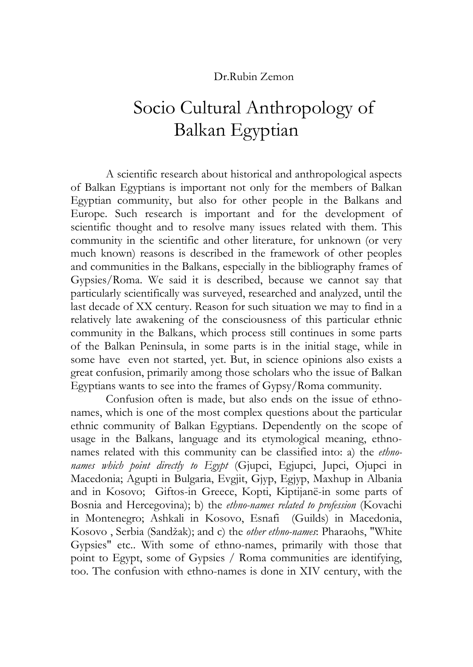### Dr.Rubin Zemon

# Socio Cultural Anthropology of Balkan Egyptian

A scientific research about historical and anthropological aspects of Balkan Egyptians is important not only for the members of Balkan Egyptian community, but also for other people in the Balkans and Europe. Such research is important and for the development of scientific thought and to resolve many issues related with them. This community in the scientific and other literature, for unknown (or very much known) reasons is described in the framework of other peoples and communities in the Balkans, especially in the bibliography frames of Gypsies/Roma. We said it is described, because we cannot say that particularly scientifically was surveyed, researched and analyzed, until the last decade of XX century. Reason for such situation we may to find in a relatively late awakening of the consciousness of this particular ethnic community in the Balkans, which process still continues in some parts of the Balkan Peninsula, in some parts is in the initial stage, while in some have even not started, yet. But, in science opinions also exists a great confusion, primarily among those scholars who the issue of Balkan Egyptians wants to see into the frames of Gypsy/Roma community.

Confusion often is made, but also ends on the issue of ethnonames, which is one of the most complex questions about the particular ethnic community of Balkan Egyptians. Dependently on the scope of usage in the Balkans, language and its etymological meaning, ethnonames related with this community can be classified into: a) the *ethnonames which point directly to Egypt* (Gjupci, Egjupci, Jupci, Ojupci in Macedonia; Agupti in Bulgaria, Evgjit, Gjyp, Egjyp, Maxhup in Albania and in Kosovo; Giftos-in Greece, Kopti, Kiptijanë-in some parts of Bosnia and Hercegovina); b) the *ethno-names related to profession* (Kovachi in Montenegro; Ashkali in Kosovo, Esnafi (Guilds) in Macedonia, Kosovo , Serbia (Sandžak); and c) the *other ethno-names*: Pharaohs, "White Gypsies" etc.. With some of ethno-names, primarily with those that point to Egypt, some of Gypsies / Roma communities are identifying, too. The confusion with ethno-names is done in XIV century, with the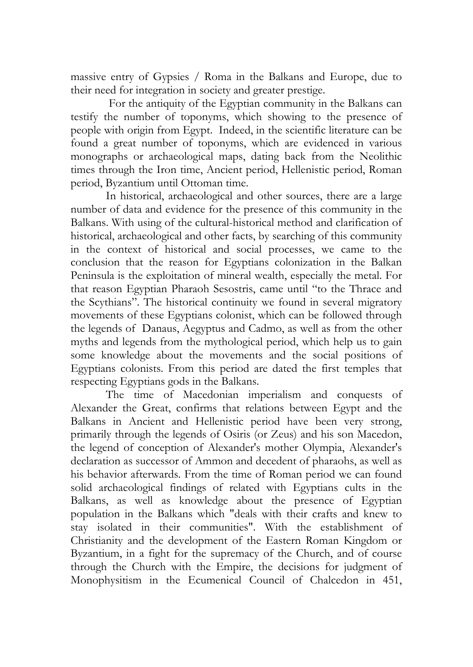massive entry of Gypsies / Roma in the Balkans and Europe, due to their need for integration in society and greater prestige.

 For the antiquity of the Egyptian community in the Balkans can testify the number of toponyms, which showing to the presence of people with origin from Egypt. Indeed, in the scientific literature can be found a great number of toponyms, which are evidenced in various monographs or archaeological maps, dating back from the Neolithic times through the Iron time, Ancient period, Hellenistic period, Roman period, Byzantium until Ottoman time.

In historical, archaeological and other sources, there are a large number of data and evidence for the presence of this community in the Balkans. With using of the cultural-historical method and clarification of historical, archaeological and other facts, by searching of this community in the context of historical and social processes, we came to the conclusion that the reason for Egyptians colonization in the Balkan Peninsula is the exploitation of mineral wealth, especially the metal. For that reason Egyptian Pharaoh Sesostris, came until "to the Thrace and the Scythians". The historical continuity we found in several migratory movements of these Egyptians colonist, which can be followed through the legends of Danaus, Aegyptus and Cadmo, as well as from the other myths and legends from the mythological period, which help us to gain some knowledge about the movements and the social positions of Egyptians colonists. From this period are dated the first temples that respecting Egyptians gods in the Balkans.

The time of Macedonian imperialism and conquests of Alexander the Great, confirms that relations between Egypt and the Balkans in Ancient and Hellenistic period have been very strong, primarily through the legends of Osiris (or Zeus) and his son Macedon, the legend of conception of Alexander's mother Olympia, Alexander's declaration as successor of Ammon and decedent of pharaohs, as well as his behavior afterwards. From the time of Roman period we can found solid archaeological findings of related with Egyptians cults in the Balkans, as well as knowledge about the presence of Egyptian population in the Balkans which "deals with their crafts and knew to stay isolated in their communities". With the establishment of Christianity and the development of the Eastern Roman Kingdom or Byzantium, in a fight for the supremacy of the Church, and of course through the Church with the Empire, the decisions for judgment of Monophysitism in the Ecumenical Council of Chalcedon in 451,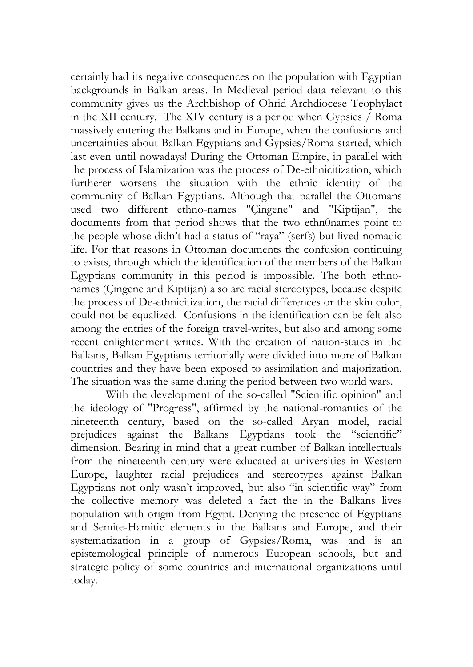certainly had its negative consequences on the population with Egyptian backgrounds in Balkan areas. In Medieval period data relevant to this community gives us the Archbishop of Ohrid Archdiocese Teophylact in the XII century. The XIV century is a period when Gypsies / Roma massively entering the Balkans and in Europe, when the confusions and uncertainties about Balkan Egyptians and Gypsies/Roma started, which last even until nowadays! During the Ottoman Empire, in parallel with the process of Islamization was the process of De-ethnicitization, which furtherer worsens the situation with the ethnic identity of the community of Balkan Egyptians. Although that parallel the Ottomans used two different ethno-names "Çingene" and "Kiptijan", the documents from that period shows that the two ethn0names point to the people whose didn't had a status of "raya" (serfs) but lived nomadic life. For that reasons in Ottoman documents the confusion continuing to exists, through which the identification of the members of the Balkan Egyptians community in this period is impossible. The both ethnonames (Çingene and Kiptijan) also are racial stereotypes, because despite the process of De-ethnicitization, the racial differences or the skin color, could not be equalized. Confusions in the identification can be felt also among the entries of the foreign travel-writes, but also and among some recent enlightenment writes. With the creation of nation-states in the Balkans, Balkan Egyptians territorially were divided into more of Balkan countries and they have been exposed to assimilation and majorization. The situation was the same during the period between two world wars.

With the development of the so-called "Scientific opinion" and the ideology of "Progress", affirmed by the national-romantics of the nineteenth century, based on the so-called Aryan model, racial prejudices against the Balkans Egyptians took the "scientific" dimension. Bearing in mind that a great number of Balkan intellectuals from the nineteenth century were educated at universities in Western Europe, laughter racial prejudices and stereotypes against Balkan Egyptians not only wasn't improved, but also "in scientific way" from the collective memory was deleted a fact the in the Balkans lives population with origin from Egypt. Denying the presence of Egyptians and Semite-Hamitic elements in the Balkans and Europe, and their systematization in a group of Gypsies/Roma, was and is an epistemological principle of numerous European schools, but and strategic policy of some countries and international organizations until today.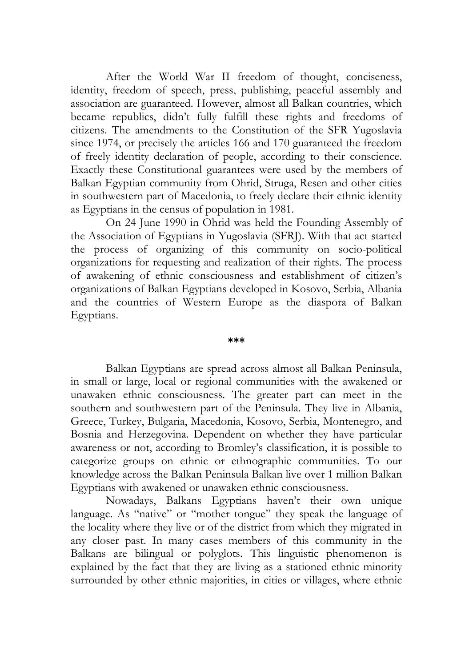After the World War II freedom of thought, conciseness, identity, freedom of speech, press, publishing, peaceful assembly and association are guaranteed. However, almost all Balkan countries, which became republics, didn't fully fulfill these rights and freedoms of citizens. The amendments to the Constitution of the SFR Yugoslavia since 1974, or precisely the articles 166 and 170 guaranteed the freedom of freely identity declaration of people, according to their conscience. Exactly these Constitutional guarantees were used by the members of Balkan Egyptian community from Ohrid, Struga, Resen and other cities in southwestern part of Macedonia, to freely declare their ethnic identity as Egyptians in the census of population in 1981.

On 24 June 1990 in Ohrid was held the Founding Assembly of the Association of Egyptians in Yugoslavia (SFRJ). With that act started the process of organizing of this community on socio-political organizations for requesting and realization of their rights. The process of awakening of ethnic consciousness and establishment of citizen's organizations of Balkan Egyptians developed in Kosovo, Serbia, Albania and the countries of Western Europe as the diaspora of Balkan Egyptians.

#### **\*\*\***

Balkan Egyptians are spread across almost all Balkan Peninsula, in small or large, local or regional communities with the awakened or unawaken ethnic consciousness. The greater part can meet in the southern and southwestern part of the Peninsula. They live in Albania, Greece, Turkey, Bulgaria, Macedonia, Kosovo, Serbia, Montenegro, and Bosnia and Herzegovina. Dependent on whether they have particular awareness or not, according to Bromley's classification, it is possible to categorize groups on ethnic or ethnographic communities. To our knowledge across the Balkan Peninsula Balkan live over 1 million Balkan Egyptians with awakened or unawaken ethnic consciousness.

Nowadays, Balkans Egyptians haven't their own unique language. As "native" or "mother tongue" they speak the language of the locality where they live or of the district from which they migrated in any closer past. In many cases members of this community in the Balkans are bilingual or polyglots. This linguistic phenomenon is explained by the fact that they are living as a stationed ethnic minority surrounded by other ethnic majorities, in cities or villages, where ethnic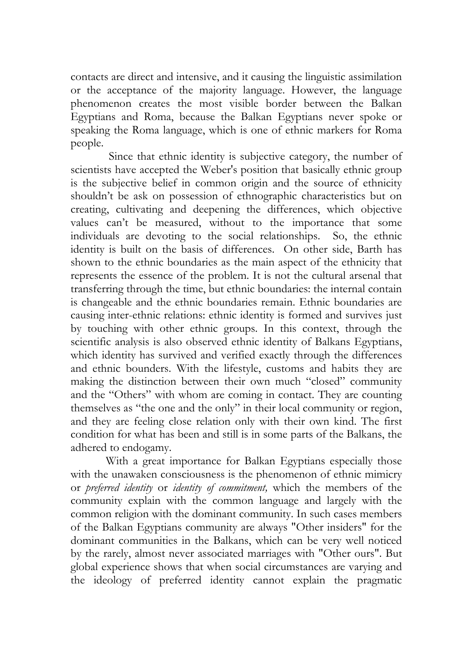contacts are direct and intensive, and it causing the linguistic assimilation or the acceptance of the majority language. However, the language phenomenon creates the most visible border between the Balkan Egyptians and Roma, because the Balkan Egyptians never spoke or speaking the Roma language, which is one of ethnic markers for Roma people.

 Since that ethnic identity is subjective category, the number of scientists have accepted the Weber's position that basically ethnic group is the subjective belief in common origin and the source of ethnicity shouldn't be ask on possession of ethnographic characteristics but on creating, cultivating and deepening the differences, which objective values can't be measured, without to the importance that some individuals are devoting to the social relationships. So, the ethnic identity is built on the basis of differences. On other side, Barth has shown to the ethnic boundaries as the main aspect of the ethnicity that represents the essence of the problem. It is not the cultural arsenal that transferring through the time, but ethnic boundaries: the internal contain is changeable and the ethnic boundaries remain. Ethnic boundaries are causing inter-ethnic relations: ethnic identity is formed and survives just by touching with other ethnic groups. In this context, through the scientific analysis is also observed ethnic identity of Balkans Egyptians, which identity has survived and verified exactly through the differences and ethnic bounders. With the lifestyle, customs and habits they are making the distinction between their own much "closed" community and the "Others" with whom are coming in contact. They are counting themselves as "the one and the only" in their local community or region, and they are feeling close relation only with their own kind. The first condition for what has been and still is in some parts of the Balkans, the adhered to endogamy.

With a great importance for Balkan Egyptians especially those with the unawaken consciousness is the phenomenon of ethnic mimicry or *preferred identity* or *identity of commitment,* which the members of the community explain with the common language and largely with the common religion with the dominant community. In such cases members of the Balkan Egyptians community are always "Other insiders" for the dominant communities in the Balkans, which can be very well noticed by the rarely, almost never associated marriages with "Other ours". But global experience shows that when social circumstances are varying and the ideology of preferred identity cannot explain the pragmatic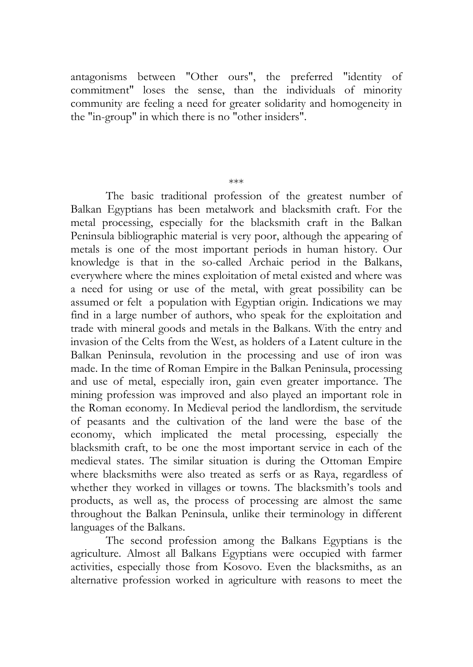antagonisms between "Other ours", the preferred "identity of commitment" loses the sense, than the individuals of minority community are feeling a need for greater solidarity and homogeneity in the "in-group" in which there is no "other insiders".

#### \*\*\*

The basic traditional profession of the greatest number of Balkan Egyptians has been metalwork and blacksmith craft. For the metal processing, especially for the blacksmith craft in the Balkan Peninsula bibliographic material is very poor, although the appearing of metals is one of the most important periods in human history. Our knowledge is that in the so-called Archaic period in the Balkans, everywhere where the mines exploitation of metal existed and where was a need for using or use of the metal, with great possibility can be assumed or felt a population with Egyptian origin. Indications we may find in a large number of authors, who speak for the exploitation and trade with mineral goods and metals in the Balkans. With the entry and invasion of the Celts from the West, as holders of a Latent culture in the Balkan Peninsula, revolution in the processing and use of iron was made. In the time of Roman Empire in the Balkan Peninsula, processing and use of metal, especially iron, gain even greater importance. The mining profession was improved and also played an important role in the Roman economy. In Medieval period the landlordism, the servitude of peasants and the cultivation of the land were the base of the economy, which implicated the metal processing, especially the blacksmith craft, to be one the most important service in each of the medieval states. The similar situation is during the Ottoman Empire where blacksmiths were also treated as serfs or as Raya, regardless of whether they worked in villages or towns. The blacksmith's tools and products, as well as, the process of processing are almost the same throughout the Balkan Peninsula, unlike their terminology in different languages of the Balkans.

The second profession among the Balkans Egyptians is the agriculture. Almost all Balkans Egyptians were occupied with farmer activities, especially those from Kosovo. Even the blacksmiths, as an alternative profession worked in agriculture with reasons to meet the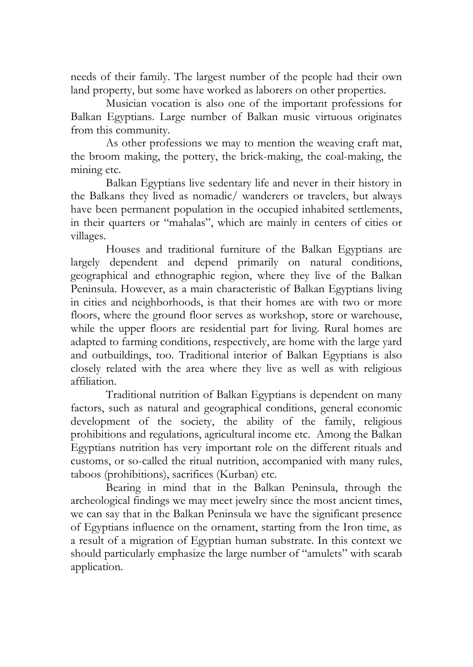needs of their family. The largest number of the people had their own land property, but some have worked as laborers on other properties.

Musician vocation is also one of the important professions for Balkan Egyptians. Large number of Balkan music virtuous originates from this community.

As other professions we may to mention the weaving craft mat, the broom making, the pottery, the brick-making, the coal-making, the mining etc.

Balkan Egyptians live sedentary life and never in their history in the Balkans they lived as nomadic/ wanderers or travelers, but always have been permanent population in the occupied inhabited settlements, in their quarters or "mahalas", which are mainly in centers of cities or villages.

Houses and traditional furniture of the Balkan Egyptians are largely dependent and depend primarily on natural conditions, geographical and ethnographic region, where they live of the Balkan Peninsula. However, as a main characteristic of Balkan Egyptians living in cities and neighborhoods, is that their homes are with two or more floors, where the ground floor serves as workshop, store or warehouse, while the upper floors are residential part for living. Rural homes are adapted to farming conditions, respectively, are home with the large yard and outbuildings, too. Traditional interior of Balkan Egyptians is also closely related with the area where they live as well as with religious affiliation.

Traditional nutrition of Balkan Egyptians is dependent on many factors, such as natural and geographical conditions, general economic development of the society, the ability of the family, religious prohibitions and regulations, agricultural income etc. Among the Balkan Egyptians nutrition has very important role on the different rituals and customs, or so-called the ritual nutrition, accompanied with many rules, taboos (prohibitions), sacrifices (Kurban) etc.

Bearing in mind that in the Balkan Peninsula, through the archeological findings we may meet jewelry since the most ancient times, we can say that in the Balkan Peninsula we have the significant presence of Egyptians influence on the ornament, starting from the Iron time, as a result of a migration of Egyptian human substrate. In this context we should particularly emphasize the large number of "amulets" with scarab application.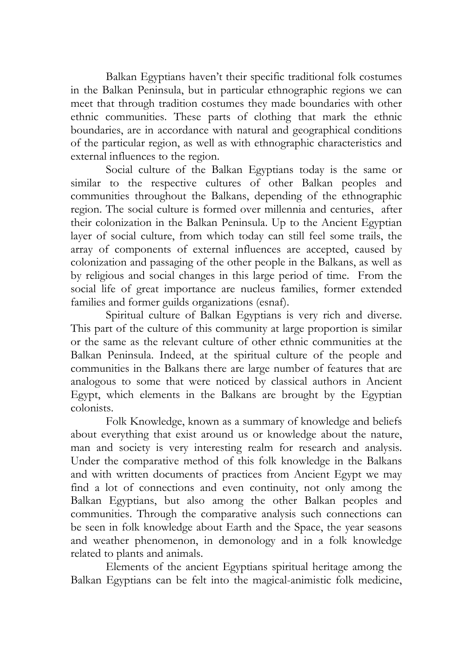Balkan Egyptians haven't their specific traditional folk costumes in the Balkan Peninsula, but in particular ethnographic regions we can meet that through tradition costumes they made boundaries with other ethnic communities. These parts of clothing that mark the ethnic boundaries, are in accordance with natural and geographical conditions of the particular region, as well as with ethnographic characteristics and external influences to the region.

Social culture of the Balkan Egyptians today is the same or similar to the respective cultures of other Balkan peoples and communities throughout the Balkans, depending of the ethnographic region. The social culture is formed over millennia and centuries, after their colonization in the Balkan Peninsula. Up to the Ancient Egyptian layer of social culture, from which today can still feel some trails, the array of components of external influences are accepted, caused by colonization and passaging of the other people in the Balkans, as well as by religious and social changes in this large period of time. From the social life of great importance are nucleus families, former extended families and former guilds organizations (esnaf).

Spiritual culture of Balkan Egyptians is very rich and diverse. This part of the culture of this community at large proportion is similar or the same as the relevant culture of other ethnic communities at the Balkan Peninsula. Indeed, at the spiritual culture of the people and communities in the Balkans there are large number of features that are analogous to some that were noticed by classical authors in Ancient Egypt, which elements in the Balkans are brought by the Egyptian colonists.

Folk Knowledge, known as a summary of knowledge and beliefs about everything that exist around us or knowledge about the nature, man and society is very interesting realm for research and analysis. Under the comparative method of this folk knowledge in the Balkans and with written documents of practices from Ancient Egypt we may find a lot of connections and even continuity, not only among the Balkan Egyptians, but also among the other Balkan peoples and communities. Through the comparative analysis such connections can be seen in folk knowledge about Earth and the Space, the year seasons and weather phenomenon, in demonology and in a folk knowledge related to plants and animals.

Elements of the ancient Egyptians spiritual heritage among the Balkan Egyptians can be felt into the magical-animistic folk medicine,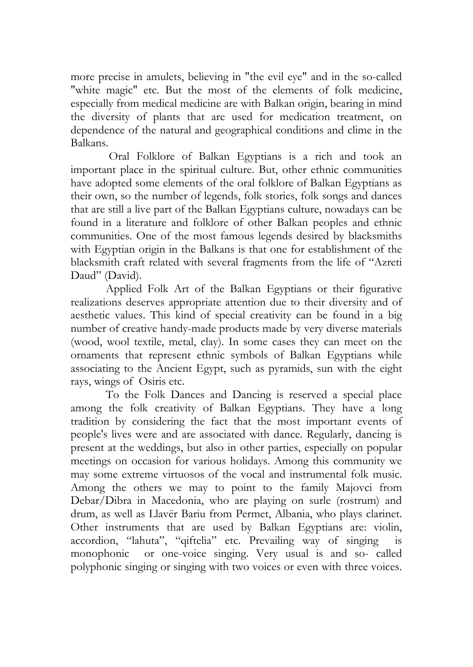more precise in amulets, believing in "the evil eye" and in the so-called "white magic" etc. But the most of the elements of folk medicine, especially from medical medicine are with Balkan origin, bearing in mind the diversity of plants that are used for medication treatment, on dependence of the natural and geographical conditions and clime in the Balkans.

 Oral Folklore of Balkan Egyptians is a rich and took an important place in the spiritual culture. But, other ethnic communities have adopted some elements of the oral folklore of Balkan Egyptians as their own, so the number of legends, folk stories, folk songs and dances that are still a live part of the Balkan Egyptians culture, nowadays can be found in a literature and folklore of other Balkan peoples and ethnic communities. One of the most famous legends desired by blacksmiths with Egyptian origin in the Balkans is that one for establishment of the blacksmith craft related with several fragments from the life of "Azreti Daud" (David).

Applied Folk Art of the Balkan Egyptians or their figurative realizations deserves appropriate attention due to their diversity and of aesthetic values. This kind of special creativity can be found in a big number of creative handy-made products made by very diverse materials (wood, wool textile, metal, clay). In some cases they can meet on the ornaments that represent ethnic symbols of Balkan Egyptians while associating to the Ancient Egypt, such as pyramids, sun with the eight rays, wings of Osiris etc.

To the Folk Dances and Dancing is reserved a special place among the folk creativity of Balkan Egyptians. They have a long tradition by considering the fact that the most important events of people's lives were and are associated with dance. Regularly, dancing is present at the weddings, but also in other parties, especially on popular meetings on occasion for various holidays. Among this community we may some extreme virtuosos of the vocal and instrumental folk music. Among the others we may to point to the family Majovci from Debar/Dibra in Macedonia, who are playing on surle (rostrum) and drum, as well as Llavër Bariu from Permet, Albania, who plays clarinet. Other instruments that are used by Balkan Egyptians are: violin, accordion, "lahuta", "qiftelia" etc. Prevailing way of singing is monophonic or one-voice singing. Very usual is and so- called polyphonic singing or singing with two voices or even with three voices.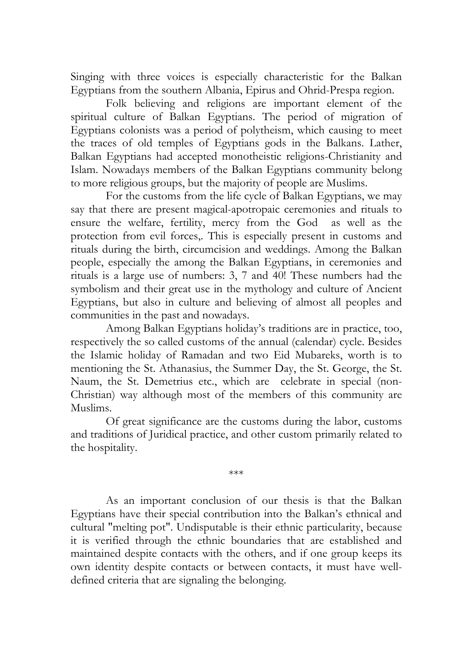Singing with three voices is especially characteristic for the Balkan Egyptians from the southern Albania, Epirus and Ohrid-Prespa region.

Folk believing and religions are important element of the spiritual culture of Balkan Egyptians. The period of migration of Egyptians colonists was a period of polytheism, which causing to meet the traces of old temples of Egyptians gods in the Balkans. Lather, Balkan Egyptians had accepted monotheistic religions-Christianity and Islam. Nowadays members of the Balkan Egyptians community belong to more religious groups, but the majority of people are Muslims.

For the customs from the life cycle of Balkan Egyptians, we may say that there are present magical-apotropaic ceremonies and rituals to ensure the welfare, fertility, mercy from the God as well as the protection from evil forces,. This is especially present in customs and rituals during the birth, circumcision and weddings. Among the Balkan people, especially the among the Balkan Egyptians, in ceremonies and rituals is a large use of numbers: 3, 7 and 40! These numbers had the symbolism and their great use in the mythology and culture of Ancient Egyptians, but also in culture and believing of almost all peoples and communities in the past and nowadays.

Among Balkan Egyptians holiday's traditions are in practice, too, respectively the so called customs of the annual (calendar) cycle. Besides the Islamic holiday of Ramadan and two Eid Mubareks, worth is to mentioning the St. Athanasius, the Summer Day, the St. George, the St. Naum, the St. Demetrius etc., which are celebrate in special (non-Christian) way although most of the members of this community are Muslims.

Of great significance are the customs during the labor, customs and traditions of Juridical practice, and other custom primarily related to the hospitality.

\*\*\*

As an important conclusion of our thesis is that the Balkan Egyptians have their special contribution into the Balkan's ethnical and cultural "melting pot". Undisputable is their ethnic particularity, because it is verified through the ethnic boundaries that are established and maintained despite contacts with the others, and if one group keeps its own identity despite contacts or between contacts, it must have welldefined criteria that are signaling the belonging.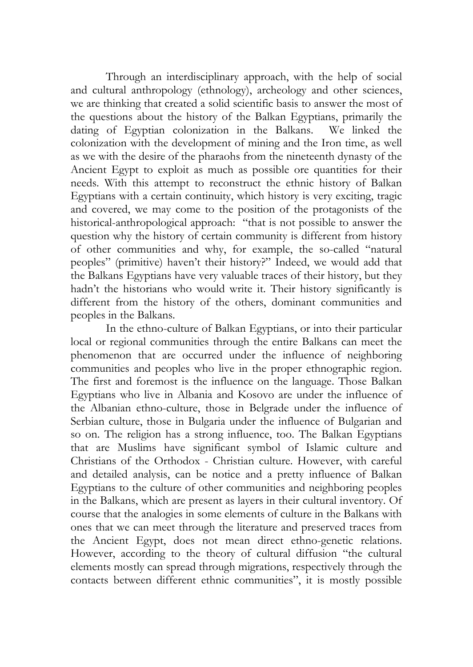Through an interdisciplinary approach, with the help of social and cultural anthropology (ethnology), archeology and other sciences, we are thinking that created a solid scientific basis to answer the most of the questions about the history of the Balkan Egyptians, primarily the dating of Egyptian colonization in the Balkans. We linked the colonization with the development of mining and the Iron time, as well as we with the desire of the pharaohs from the nineteenth dynasty of the Ancient Egypt to exploit as much as possible ore quantities for their needs. With this attempt to reconstruct the ethnic history of Balkan Egyptians with a certain continuity, which history is very exciting, tragic and covered, we may come to the position of the protagonists of the historical-anthropological approach: "that is not possible to answer the question why the history of certain community is different from history of other communities and why, for example, the so-called "natural peoples" (primitive) haven't their history?" Indeed, we would add that the Balkans Egyptians have very valuable traces of their history, but they hadn't the historians who would write it. Their history significantly is different from the history of the others, dominant communities and peoples in the Balkans.

In the ethno-culture of Balkan Egyptians, or into their particular local or regional communities through the entire Balkans can meet the phenomenon that are occurred under the influence of neighboring communities and peoples who live in the proper ethnographic region. The first and foremost is the influence on the language. Those Balkan Egyptians who live in Albania and Kosovo are under the influence of the Albanian ethno-culture, those in Belgrade under the influence of Serbian culture, those in Bulgaria under the influence of Bulgarian and so on. The religion has a strong influence, too. The Balkan Egyptians that are Muslims have significant symbol of Islamic culture and Christians of the Orthodox - Christian culture. However, with careful and detailed analysis, can be notice and a pretty influence of Balkan Egyptians to the culture of other communities and neighboring peoples in the Balkans, which are present as layers in their cultural inventory. Of course that the analogies in some elements of culture in the Balkans with ones that we can meet through the literature and preserved traces from the Ancient Egypt, does not mean direct ethno-genetic relations. However, according to the theory of cultural diffusion "the cultural elements mostly can spread through migrations, respectively through the contacts between different ethnic communities", it is mostly possible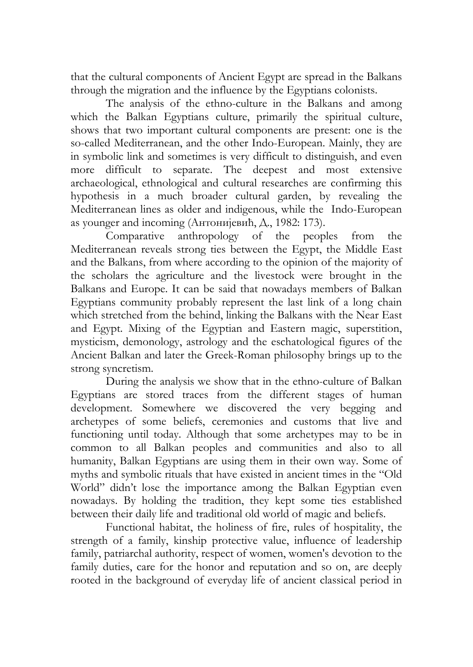that the cultural components of Ancient Egypt are spread in the Balkans through the migration and the influence by the Egyptians colonists.

The analysis of the ethno-culture in the Balkans and among which the Balkan Egyptians culture, primarily the spiritual culture, shows that two important cultural components are present: one is the so-called Mediterranean, and the other Indo-European. Mainly, they are in symbolic link and sometimes is very difficult to distinguish, and even more difficult to separate. The deepest and most extensive archaeological, ethnological and cultural researches are confirming this hypothesis in a much broader cultural garden, by revealing the Mediterranean lines as older and indigenous, while the Indo-European as younger and incoming (Антониjевић, Д., 1982: 173).

Comparative anthropology of the peoples from the Mediterranean reveals strong ties between the Egypt, the Middle East and the Balkans, from where according to the opinion of the majority of the scholars the agriculture and the livestock were brought in the Balkans and Europe. It can be said that nowadays members of Balkan Egyptians community probably represent the last link of a long chain which stretched from the behind, linking the Balkans with the Near East and Egypt. Mixing of the Egyptian and Eastern magic, superstition, mysticism, demonology, astrology and the eschatological figures of the Ancient Balkan and later the Greek-Roman philosophy brings up to the strong syncretism.

During the analysis we show that in the ethno-culture of Balkan Egyptians are stored traces from the different stages of human development. Somewhere we discovered the very begging and archetypes of some beliefs, ceremonies and customs that live and functioning until today. Although that some archetypes may to be in common to all Balkan peoples and communities and also to all humanity, Balkan Egyptians are using them in their own way. Some of myths and symbolic rituals that have existed in ancient times in the "Old World" didn't lose the importance among the Balkan Egyptian even nowadays. By holding the tradition, they kept some ties established between their daily life and traditional old world of magic and beliefs.

Functional habitat, the holiness of fire, rules of hospitality, the strength of a family, kinship protective value, influence of leadership family, patriarchal authority, respect of women, women's devotion to the family duties, care for the honor and reputation and so on, are deeply rooted in the background of everyday life of ancient classical period in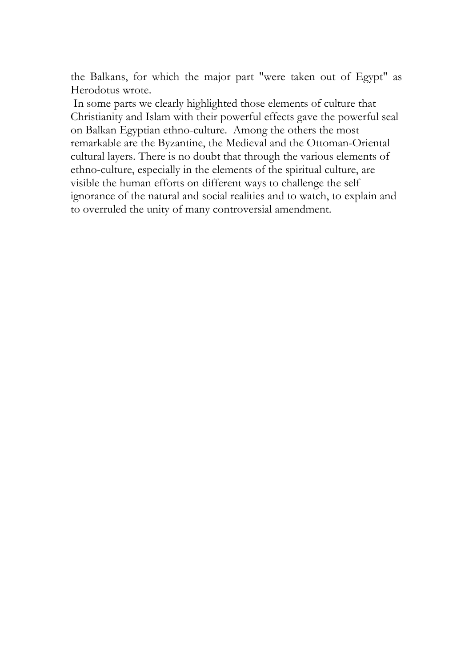the Balkans, for which the major part "were taken out of Egypt" as Herodotus wrote.

 In some parts we clearly highlighted those elements of culture that Christianity and Islam with their powerful effects gave the powerful seal on Balkan Egyptian ethno-culture. Among the others the most remarkable are the Byzantine, the Medieval and the Ottoman-Oriental cultural layers. There is no doubt that through the various elements of ethno-culture, especially in the elements of the spiritual culture, are visible the human efforts on different ways to challenge the self ignorance of the natural and social realities and to watch, to explain and to overruled the unity of many controversial amendment.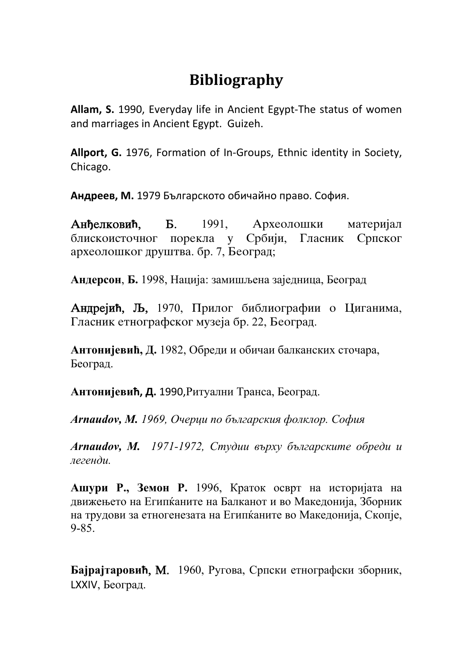## **Bibliography**

**Allam, S.** 1990, Everyday life in Ancient Egypt‐The status of women and marriages in Ancient Egypt. Guizeh.

**Allport, G.** 1976, Formation of In‐Groups, Ethnic identity in Society, Chicago.

**Андреев, М.** 1979 Българското обичайно право. София.

Анђелковић, Б. 1991, Археолошки материјал блискоисточног порекла у Србији, Гласник Српског археолошког друштва. бр. 7, Београд;

**Андерсон**, **Б.** 1998, Нација: замишљена заједница, Београд

Андрејић, Љ, 1970, Прилог библиографии о Циганима, Гласник етнографског музеја бр. 22, Београд.

**Антонијевић, Д.** 1982, Обреди и обичаи балканских сточара, Београд.

**Антонијевић, Д.** 1990,Ритуални Транса, Београд.

*Arnaudov, M. 1969, Очерци по българския фолклор. София*

*Arnaudov, M. 1971-1972, Студии върху българските обреди и легенди.* 

**Ашури Р., Земон Р.** 1996, Краток осврт на историјата на движењето на Египќаните на Балканот и во Македонија, Зборник на трудови за етногенезата на Египќаните во Македонија, Скопје, 9-85.

**Бајрајтаровић**, M. 1960, Ругова, Српски етнографски зборник, LXXIV, Београд.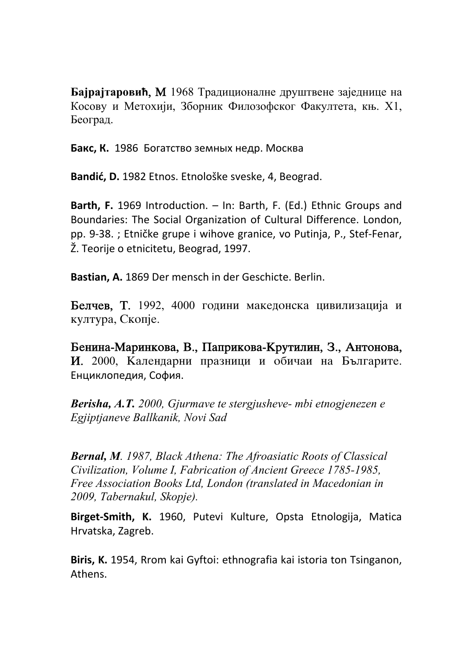**Бајрајтаровић**, M 1968 Традиционалне друштвене заједнице на Косову и Метохији, Зборник Филозофског Факултета, књ. Х1, Београд.

**Бакс, К.** 1986 Богатство земных недр. Москва

**Bandić, D.** 1982 Etnos. Etnološke sveske, 4, Beograd.

**Barth, F.** 1969 Introduction. – In: Barth, F. (Ed.) Ethnic Groups and Boundaries: The Social Organization of Cultural Difference. London, pp. 9‐38. ; Etničke grupe i wihove granice, vo Putinja, P., Stef‐Fenar, Ž. Teorije o etnicitetu, Beograd, 1997.

**Bastian, A.** 1869 Der mensch in der Geschicte. Berlin.

Белчев, Т. 1992, 4000 години македонска цивилизација и култура, Скопје.

Бенина-Маринкова, В., Паприкова-Крутилин, З., Антонова, И. 2000, Календарни празници и обичаи на Българите. Енциклопедия, София.

*Berisha, A.T. 2000, Gjurmave te stergjusheve- mbi etnogjenezen e Egjiptjaneve Ballkanik, Novi Sad* 

*Bernal, M. 1987, Black Athena: The Afroasiatic Roots of Classical Civilization, Volume I, Fabrication of Ancient Greece 1785-1985, Free Association Books Ltd, London (translated in Macedonian in 2009, Tabernakul, Skopje).* 

**Birget‐Smith, K.** 1960, Putevi Kulture, Opsta Etnologija, Matica Hrvatska, Zagreb.

**Biris, K.** 1954, Rrom kai Gyftoi: ethnografia kai istoria ton Tsinganon, Athens.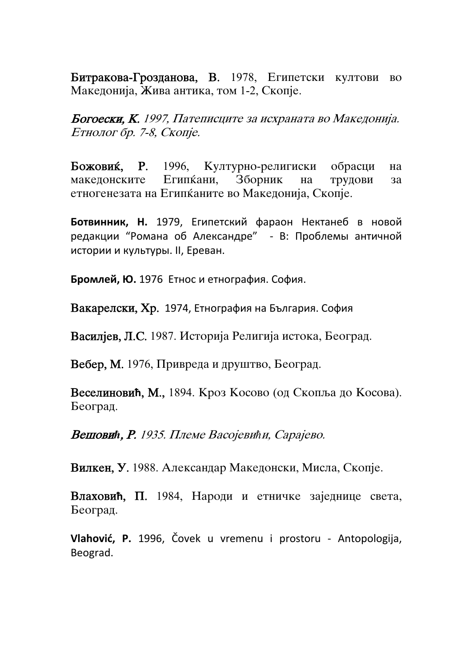Битракова-Грозданова, В. 1978, Египетски култови во Македонија, Жива антика, том 1-2, Скопје.

Богоески, К. 1997, Патеписците за исхраната во Македонија. Етнолог бр. 7-8, Скопје.

Божовиќ, Р. 1996, Културно-религиски обрасци на македонските Египќани, Зборник на трудови за етногенезата на Египканите во Македонија, Скопје.

**Ботвинник, Н.** 1979, Египетский фараон Нектанеб в новой редакции "Романа об Александре" ‐ В: Проблемы античной истории и культуры. ІІ, Ереван.

**Бромлей, Ю.** 1976 Етнос и етнография. София.

Вакарелски, Хр. 1974, Етнография на България. София

Василјев, Л.С. 1987. Историја Религија истока, Београд.

Вебер, М. 1976, Привреда и друштво, Београд.

Веселиновић, М., 1894. Кроз Косово (од Скопља до Косова). Београд.

**Вешовић, Р.** 1935. Племе Васојевићи, Сарајево.

Вилкен, У. 1988. Александар Македонски, Мисла, Скопје.

Влаховић, П. 1984, Народи и етничке заједнице света, Београд.

**Vlahović, P.** 1996, Čovek u vremenu i prostoru ‐ Antopologija, Beograd.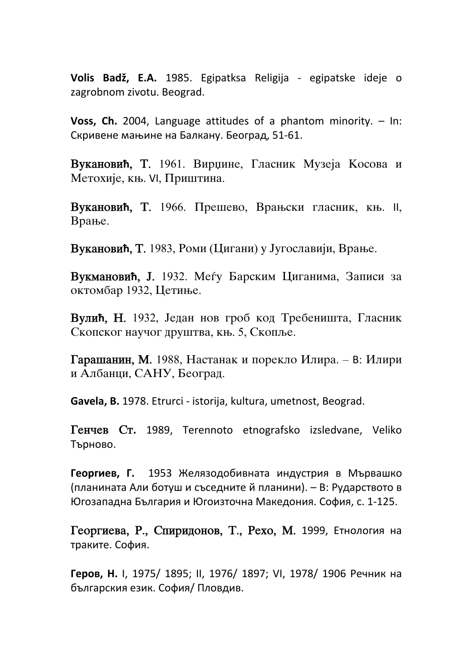**Volis Badž, E.A.** 1985. Egipatksa Religija ‐ egipatske ideje o zagrobnom zivotu. Beograd.

**Voss, Ch.** 2004, Language attitudes of a phantom minority. – In: Скривене мањине на Балкану. Београд, 51‐61.

**Вукановић, Т.** 1961. Вирџине, Гласник Музеја Косова и Метохије, књ. VI, Приштина.

Вукановић, Т. 1966. Прешево, Врањски гласник, књ. II, Врање.

Вукановић, Т. 1983, Роми (Цигани) у Југославији, Врање.

**Вукмановић, Ј.** 1932. Меѓу Барским Циганима, Записи за октомбар 1932, Цетиње.

**Вулић, Н.** 1932, Један нов гроб код Требеништа, Гласник Скопског научог друштва, књ. 5, Скопље.

Гарашанин, М. 1988, Настанак и порекло Илира. – В: Илири и Албанци, САНУ, Београд.

**Gavela, B.** 1978. Etrurci ‐ istorija, kultura, umetnost, Beograd.

Tенчев Ст. 1989, Terennoto etnografsko izsledvane, Veliko Търново.

**Георгиев, Г.** 1953 Желязодобивната индустрия в Мървашко (планината Али ботуш и съседните й планини). – В: Рударството в Югозападна България и Югоизточна Македония. София, с. 1‐125.

Георгиева, Р., Спиридонов, Т., Рехо, М. 1999, Етнология на траките. София.

**Геров, Н.** І, 1975/ 1895; ІІ, 1976/ 1897; VІ, 1978/ 1906 Речник на българския език. София/ Пловдив.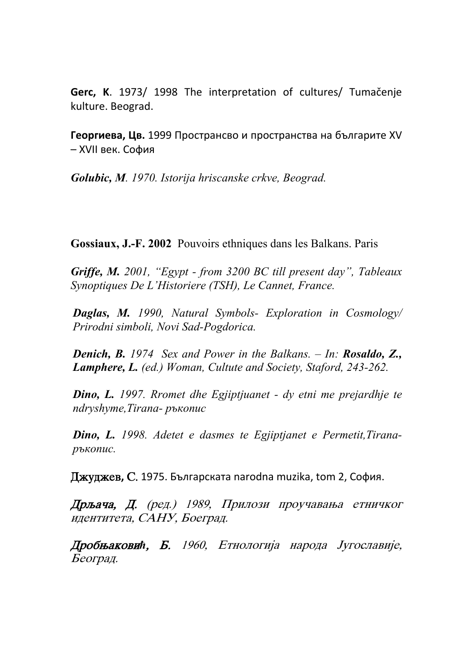**Gerc, K**. 1973/ 1998 The interpretation of cultures/ Tumačenje kulture. Beograd.

**Георгиева, Цв.** 1999 Пространсво и пространства на българите ХV – ХVІІ век. София

*Golubic, M. 1970. Istorija hriscanske crkve, Beograd.* 

**Gossiaux, J.-F. 2002** Pouvoirs ethniques dans les Balkans. Paris

*Griffe, M. 2001, "Egypt - from 3200 BC till present day", Tableaux Synoptiques De L'Historiere (TSH), Le Cannet, France.* 

*Daglas, M. 1990, Natural Symbols- Exploration in Cosmology/ Prirodni simboli, Novi Sad-Pogdorica.* 

*Denich, B. 1974 Sex and Power in the Balkans. – In: Rosaldo, Z., Lamphere, L. (ed.) Woman, Cultute and Society, Staford, 243-262.* 

*Dino, L. 1997. Rromet dhe Egjiptjuanet - dy etni me prejardhje te ndryshyme,Tirana- ръкопис*

*Dino, L. 1998. Adetet e dasmes te Egjiptjanet e Permetit,Tiranaръкопис.* 

**Джуджев, С. 1975. Българската narodna muzika, tom 2, София.** 

Дрљача, Д. (ред.) 1989, Прилози проучавања етничког идентитета, САНУ, Боеград.

Дробњаковић, Б. 1960, Етнологија народа Југославије, Београд.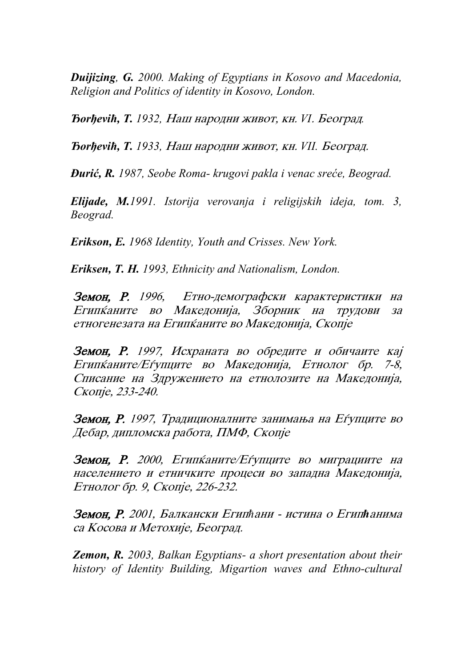*Duijizing, G. 2000. Making of Egyptians in Kosovo and Macedonia, Religion and Politics of identity in Kosovo, London.* 

*Ђогђеvіћ, Т. 1932, Наш народни живот, кн. VI. Београд.* 

*Ђогђеvіћ, Т. 1933, Наш народни живот, кн. VII. Београд.* 

*Đurić, R. 1987, Seobe Roma- krugovi pakla i venac sreće, Beograd.* 

*Elijade, M.1991. Istorija verovanja i religijskih ideja, tom. 3, Beograd.* 

*Erikson, E. 1968 Identity, Youth and Crisses. New York.* 

*Eriksen, T. H. 1993, Ethnicity and Nationalism, London.* 

Земон, Р. 1996, Етно-демографски карактеристики на Египќаните во Македонија, Зборник на трудови за етногенезата на Египканите во Македонија, Скопје

Земон, Р. 1997, Исхраната во обредите и обичаите кај Египканите/Еѓупците во Македонија, Етнолог бр. 7-8, Списание на Здружението на етнолозите на Македонија, Скопје, 233-240.

Земон, Р. 1997, Традиционалните занимања на Еѓупците во Дебар, дипломска работа, ПМФ, Скопје

Земон, Р. 2000, Египканите/Еѓупците во миграциите на населението и етничките процеси во западна Македонија, Етнолог бр. 9, Скопје, 226-232.

**Земон, Р.** 2001, Балкански Египћани - истина о Египћанима са Косова и Метохије, Београд.

*Zemon, R. 2003, Balkan Egyptians- a short presentation about their history of Identity Building, Migartion waves and Ethno-cultural*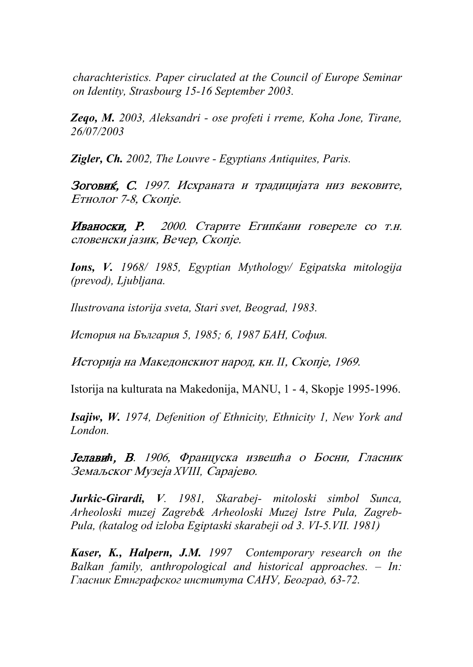*charachteristics. Paper ciruclated at the Council of Europe Seminar on Identity, Strasbourg 15-16 September 2003.* 

*Zeqo, M. 2003, Aleksandri - ose profeti i rreme, Koha Jone, Tirane, 26/07/2003* 

*Zigler, Ch. 2002, The Louvre - Egyptians Antiquites, Paris.* 

Зоговиќ, С. 1997. Исхраната и традицијата низ вековите, Етнолог 7-8, Скопје.

Иваноски, Р. 2000. Старите Египкани говереле со т.н. словенски јазик, Вечер, Скопје.

*Ions, V. 1968/ 1985, Egyptian Mythology/ Egipatska mitologija (prevod), Ljubljana.* 

*Ilustrovana istorija sveta, Stari svet, Beograd, 1983.* 

*История на България 5, 1985; 6, 1987 БАН, София.* 

Историја на Македонскиот народ, кн. II, Скопје, 1969.

Istorija na kulturata na Makedonija, MANU, 1 - 4, Skopje 1995-1996.

*Isajiw, W. 1974, Defenition of Ethnicity, Ethnicity 1, New York and London.* 

**Јелавић, В.** 1906, Француска извешћа о Босни, Гласник Земаљског Музеја XVIII, Сарајево.

*Jurkic-Girardi, V. 1981, Skarabej- mitoloski simbol Sunca, Arheoloski muzej Zagreb& Arheoloski Muzej Istre Pula, Zagreb-Pula, (katalog od izloba Egiptaski skarabeji od 3. VI-5.VII. 1981)* 

*Kaser, K., Halpern, J.M. 1997 Contemporary research on the Balkan family, anthropological and historical approaches. – In: Гласник Етнграфског института САНУ, Београд, 63-72.*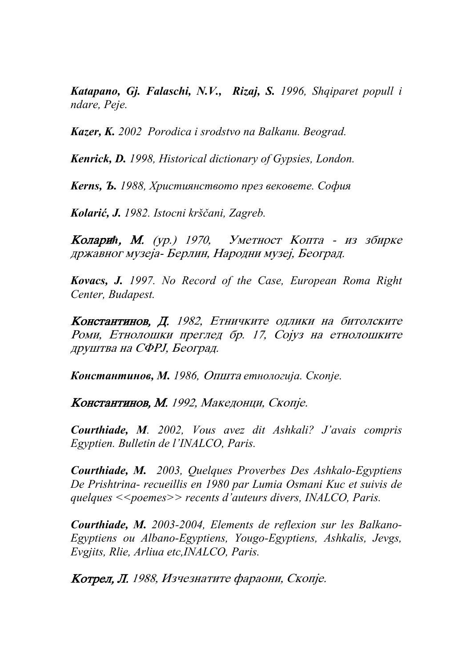*Katapano, Gj. Falaschi, N.V., Rizaj, S. 1996, Shqiparet popull i ndare, Peje.* 

*Kazer, K. 2002 Porodica i srodstvo na Balkanu. Beograd.* 

*Kenrick, D. 1998, Historical dictionary of Gypsies, London.* 

*Kerns, Ъ. 1988, Християнството през вековете. София*

*Kolarić, J. 1982. Istocni krščani, Zagreb.* 

Коларић, М. (ур.) 1970, Уметност Копта - из збирке државног музеја- Берлин, Народни музеј, Београд.

*Kovacs, J. 1997. No Record of the Case, European Roma Right Center, Budapest.* 

Константинов, Д. 1982, Етничките одлики на битолските Роми, Етнолошки преглед бр. 17, Сојуз на етнолошките друштва на СФРЈ, Београд.

*Константинов, М. 1986, Општа етнологија. Скопје.* 

Константинов, М. 1992, Македонци, Скопје.

*Courthiade, M. 2002, Vous avez dit Ashkali? J'avais compris Egyptien. Bulletin de l'INALCO, Paris.* 

*Courthiade, M. 2003, Quelques Proverbes Des Ashkalo-Egyptiens De Prishtrina- recueillis en 1980 par Lumia Osmani Kuc et suivis de quelques <<poemes>> recents d'auteurs divers, INALCO, Paris.* 

*Courthiade, M. 2003-2004, Elements de reflexion sur les Balkano-Egyptiens ou Albano-Egyptiens, Yougo-Egyptiens, Ashkalis, Jevgs, Evgjits, Rlie, Arliua etc,INALCO, Paris.* 

 $K$ отрел, Л. 1988, Изчезнатите фараони, Скопје.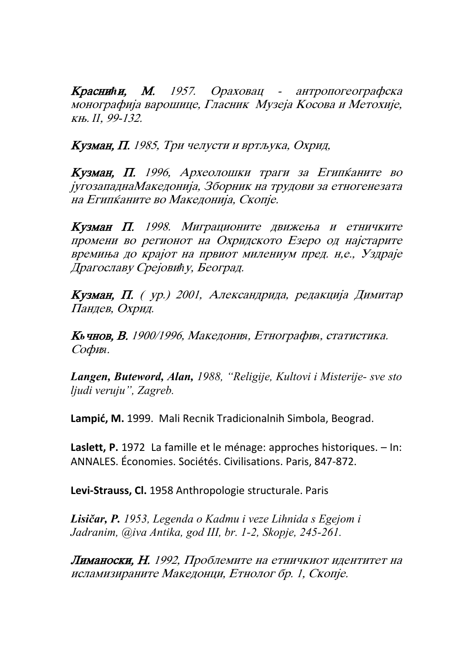Краснићи, М. 1957. Ораховац - антропогеографска монографија варошице, Гласник Музеја Косова и Метохије, kw. *II*, 99-132.

Кузман, П. 1985, Три челусти и вртљука, Охрид,

Кузман, П. 1996, Археолошки траги за Египќаните во југозападнаМакедонија, Зборник на трудови за етногенезата на Египќаните во Македонија, Скопје.

**Кузман П.** 1998. Миграционите движења и етничките промени во регионот на Охридското Езеро од најстарите времиња до крајот на првиот милениум пред. н,е., Уздраје Драгославу Срејовић у, Београд.

Кузман, П. ( ур.) 2001, Александрида, редакција Димитар Пандев, Охрид.

Кь чнов, В. 1900/1996, Македония, Етнография, статистика. Sofi*я*.

*Langen, Buteword, Alan, 1988, "Religije, Kultovi i Misterije- sve sto ljudi veruju", Zagreb.* 

**Lampić, M.** 1999. Mali Recnik Tradicionalnih Simbola, Beograd.

**Laslett, P.** 1972 La famille et le ménage: approches historiques. – In: ANNALES. Économies. Sociétés. Civilisations. Paris, 847‐872.

**Levi‐Strauss, Cl.** 1958 Anthropologie structurale. Paris

*Lisičar, P. 1953, Legenda o Kadmu i veze Lihnida s Egejom i Jadranim, @iva Antika, god III, br. 1-2, Skopje, 245-261.* 

Лиманоски, Н. 1992, Проблемите на етничкиот идентитет на исламизираните Македонци, Етнолог бр. 1, Скопје.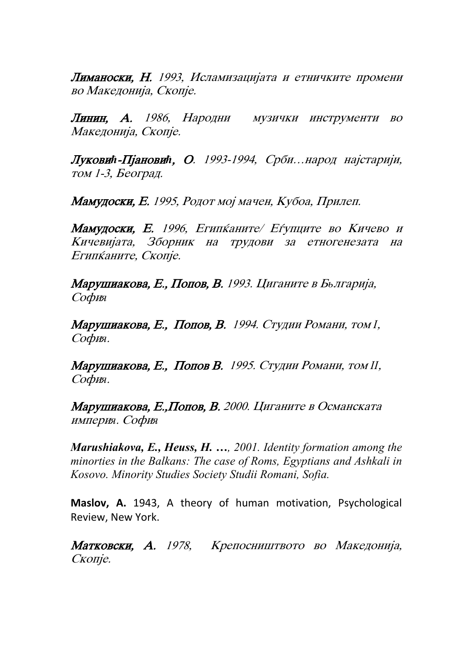Лиманоски, Н. 1993, Исламизацијата и етничките промени во Македонија, Скопје.

Линин, А. 1986, Народни музички инструменти во Македонија, Скопје.

Луковић-Пјановић, О. 1993-1994, Срби... народ најстарији, том 1-3, Београд.

Мамудоски, Е. 1995, Родот мој мачен, Кубоа, Прилеп.

Мамудоски, Е. 1996, Египканите/ Еѓупците во Кичево и Кичевијата, Зборник на трудови за етногенезата на Египканите, Скопје.

Марушиакова, Е., Попов, В. 1993. Циганите в Бьлгарија, Sofi*я*

Марушиакова, Е., Попов, В. 1994. Студии Романи, том *I*, Sofi*я*.

**Марушиакова, Е., Попов В.** 1995. Студии Романи, том *II*, Sofi*я*.

Марушиакова, Е., Попов, В. 2000. Циганите в Османската империя*. Софи*я

*Marushiakova, E., Heuss, H. …, 2001. Identity formation among the minorties in the Balkans: The case of Roms, Egyptians and Ashkali in Kosovo. Minority Studies Society Studii Romani, Sofia.* 

**Maslov, A.** 1943, A theory of human motivation, Psychological Review, New York.

Матковски, А. 1978, Крепосништвото во Македонија, Скопје.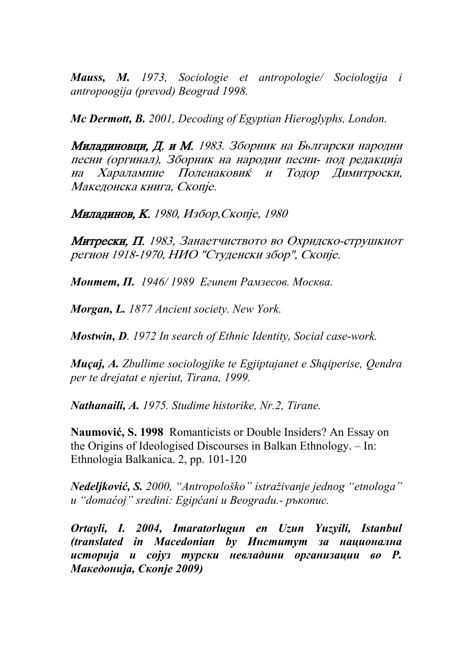*Mauss, M. 1973, Sociologie et antropologie/ Sociologija i antropoogija (prevod) Beograd 1998.* 

*Mc Dermott, B. 2001, Decoding of Egyptian Hieroglyphs, London.* 

**Миладиновци, Д. и М.** 1983. Зборник на Бьлгарски народни песни (оргинал), Зборник на народни песни- под редакција на Харалампие Поленаковиќ и Тодор Димитроски, Македонска книга, Скопје.

Миладинов, К. 1980, Избор, Скопје, 1980

**Митрески, П.** 1983, Занаетчиството во Охридско-струшкиот регион 1918-1970, НИО "Студенски збор", Скопје.

*Монтет, П. 1946/ 1989 Египет Рамзесов. Москва.* 

*Morgan, L. 1877 Ancient society. New York.* 

*Mostwin, D. 1972 In search of Ethnic Identity, Social case-work.* 

*Muçaj, A. Zbullime sociologjike te Egjiptajanet e Shqiperise, Qendra per te drejatat e njeriut, Tirana, 1999.* 

*Nathanaili, A. 1975. Studime historike, Nr.2, Tirane.* 

**Naumović, S. 1998** Romanticists or Double Insiders? An Essay on the Origins of Ideologised Discourses in Balkan Ethnology. – In: Ethnologia Balkanica. 2, pp. 101-120

*Nedeljković, S. 2000, "Antropološko" istraživanje jednog "etnologa" u "domaćoj" sredini: Egipćani u Beogradu.- ръкопис.* 

*Ortayli, I. 2004, Imaratorlugun en Uzun Yuzyili, Istanbul (translated in Macedonian by Институт за национална историја и сојуз турски невладини организации во Р. Македонија, Скопје 2009)*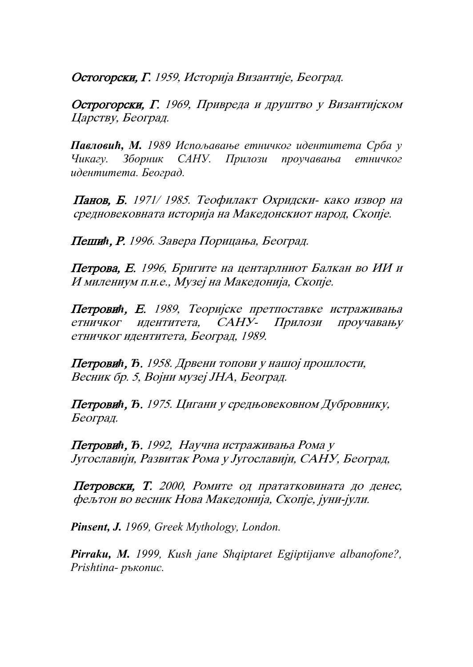Остогорски, Г. 1959, Историја Византије, Београд.

Острогорски, Г. 1969, Привреда и друштво у Византијском Царству, Београд.

*Павловић, М. 1989 Испољавање етничког идентитета Срба у Чикагу. Зборник САНУ. Прилози проучавања етничког идентитета. Београд.* 

Панов, Б. 1971/ 1985. Теофилакт Охридски- како извор на средновековната историја на Македонскиот народ, Скопје.

**Пешић, Р.** 1996. Завера Порицања, Београд.

Петрова, Е. 1996, Бригите на центарлниот Балкан во ИИ и И милениум п.н.е., Музеј на Македонија, Скопје.

Петровић, Е. 1989, Теоријске претпоставке истраживања етничког идентитета, САНУ- Прилози проучавању етничког идентитета, Београд, 1989.

Петровић, Ђ. 1958. Дрвени топови у нашој прошлости, Весник бр. 5, Војни музеј ЈНА, Београд.

Петровић, Ђ. 1975. Цигани у средњовековном Дубровнику, Београд.

**Петровић, Ђ.** 1992, Научна истраживања Рома у Југославији, Развитак Рома у Југославији, САНУ, Београд,

Петровски, Т. 2000, Ромите од прататковината до денес, фељтон во весник Нова Македонија, Скопје, јуни-јули.

*Pinsent, J. 1969, Greek Mythology, London.* 

*Pirraku, M. 1999, Kush jane Shqiptaret Egjiptijanve albanofone?, Prishtina- ръкопис.*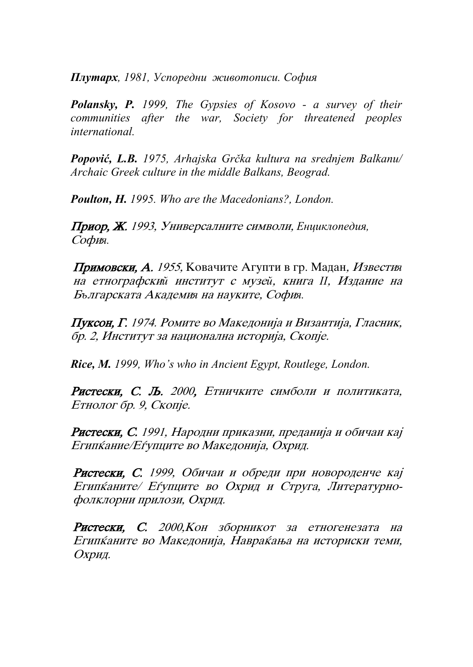*Плутарх, 1981, Успоредни животописи. София*

*Polansky, P. 1999, The Gypsies of Kosovo - a survey of their communities after the war, Society for threatened peoples international.* 

*Popović, L.B. 1975, Arhajska Grčka kultura na srednjem Balkanu/ Archaic Greek culture in the middle Balkans, Beograd.* 

*Poulton, H. 1995. Who are the Macedonians?, London.* 

Приор, Ж. 1993, Универсалните символи, Енциклопедия, София.

Примовски, А. 1955, Ковачите Агупти в гр. Мадан, Известия на етнографский институт с музей, книга *II*, Издание на Българската Академия на науките, София.

 $\Pi$ уксон, Г. 1974. Ромите во Македонија и Византија, Гласник, бр. 2, Институт за национална историја, Скопје.

*Rice, M. 1999, Who's who in Ancient Egypt, Routlege, London.* 

Ристески, С. Љ. 2000, Етничките симболи и политиката, Етнолог бр. 9, Скопје.

Ристески, С. 1991, Народни приказни, преданија и обичаи кај Египкание/Еѓупците во Македонија, Охрид.

Ристески, С. 1999, Обичаи и обреди при новороденче кај Египканите/ Еѓупците во Охрид и Струга, Литературнофолклорни прилози, Охрид.

Ристески, С. 2000, Кон зборникот за етногенезата на Египќаните во Македонија, Навраќања на историски теми, Охрид.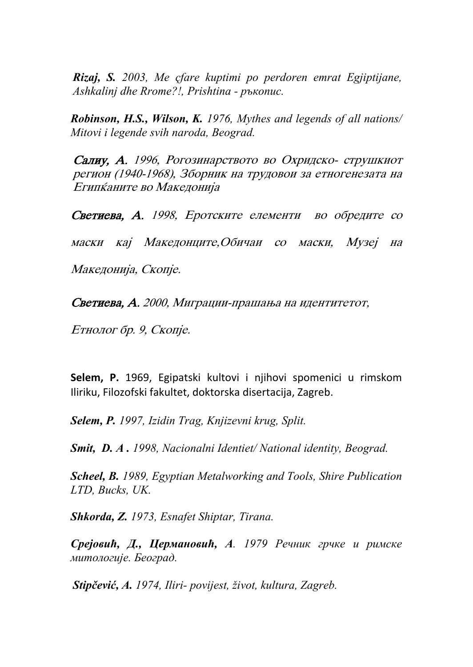*Rizaj, S. 2003, Me çfare kuptimi po perdoren emrat Egjiptijane, Ashkalinj dhe Rrome?!, Prishtina - ръкопис.* 

*Robinson, H.S., Wilson, K. 1976, Mythes and legends of all nations/ Mitovi i legende svih naroda, Beograd.* 

Салиу, А. 1996, Рогозинарството во Охридско- струшкиот регион (1940-1968), Зборник на трудовои за етногенезата на Египќаните во Македонија

Светиева, А. 1998, Еротските елементи во обредите со маски кај Македонците,Обичаи со маски, Музеј на Македонија, Скопје.

Светиева, А. 2000, Миграции-прашања на идентитетот,

Етнолог бр. 9, Скопје.

**Selem, P.** 1969, Egipatski kultovi i njihovi spomenici u rimskom Iliriku, Filozofski fakultet, doktorska disertacija, Zagreb.

*Selem, P. 1997, Izidin Trag, Knjizevni krug, Split.* 

*Smit, D. A . 1998, Nacionalni Identiet/ National identity, Beograd.* 

*Scheel, B. 1989, Egyptian Metalworking and Tools, Shire Publication LTD, Bucks, UK.* 

*Shkorda, Z. 1973, Esnafet Shiptar, Tirana.* 

*Среjовић, Д., Цермановић, А. 1979 Речник грчке и римске митологиjе. Београд.* 

*Stipčević, A. 1974, Iliri- povijest, život, kultura, Zagreb.*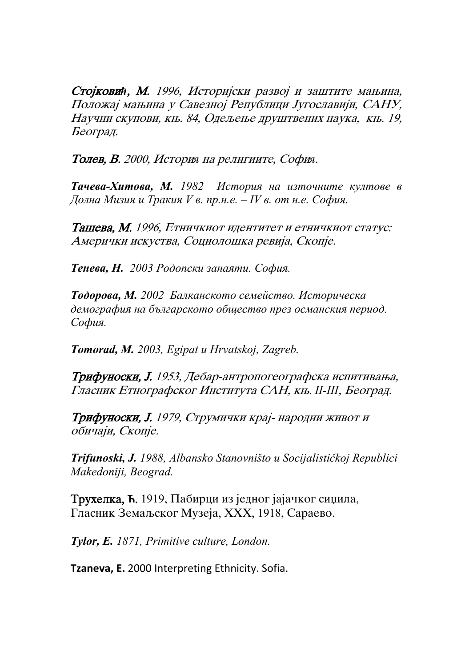Стојковић, М. 1996, Историјски развој и заштите мањина, Положај мањина у Савезној Републици Југославији, САНУ, Научни скупови, књ. 84, Одељење друштвених наука, књ. 19, Београд.

**Толев, В.** 2000, История на религиите, София.

*Тачева-Хитова, М. 1982 История на източните култове в* Долна Мизия и Тракия V в. пр.н.е.  $-IV$  в. от н.е. София.

Ташева, М. 1996, Етничкиот идентитет и етничкиот статус: Амерички искуства, Социолошка ревија, Скопје.

*Тенева, Н. 2003 Родопски занаяти. София.* 

*Тодорова, М. 2002 Балканското семейство. Историческа демография на българското общество през османския период. София.* 

*Tomorad, M. 2003, Egipat u Hrvatskoj, Zagreb.* 

**Трифуноски, Ј.** 1953, Дебар-антропогеографска испитивања, Гласник Етнографског Института САН, књ. II-III, Београд.

**Трифуноски, J.** 1979, Струмички крај- народни живот и обичаји, Скопје.

*Trifunoski, J. 1988, Albansko Stanovništo u Socijalističkoj Republici Makedoniji, Beograd.* 

**Трухелка, Ћ.** 1919, Пабирци из једног јајачког сиџила, Гласник Земаљског Музеја, XXX, 1918, Сараево.

*Tylor, E. 1871, Primitive culture, London.* 

**Tzaneva, E.** 2000 Interpreting Ethnicity. Sofia.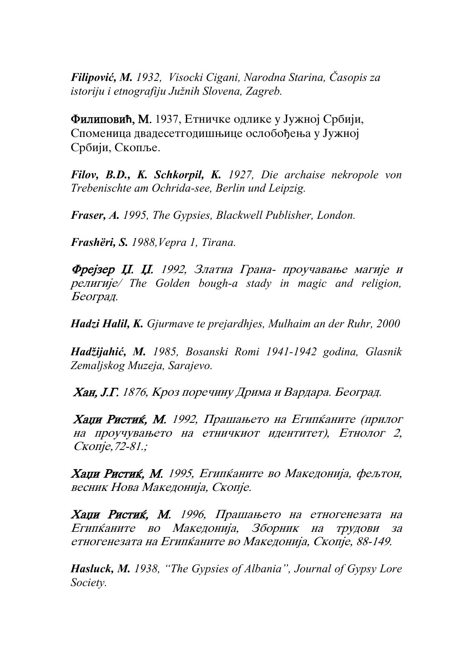*Filipović, M. 1932, Visocki Cigani, Narodna Starina, Časopis za istoriju i etnografiju Južnih Slovena, Zagreb.* 

**Филиповић, М.** 1937, Етничке одлике у Јужној Србији, Споменица двадесетгодишњице ослобођења у Јужној Србији, Скопље.

*Filov, B.D., K. Schkorpil, K. 1927, Die archaise nekropole von Trebenischte am Ochrida-see, Berlin und Leipzig.* 

*Fraser, A. 1995, The Gypsies, Blackwell Publisher, London.* 

*Frashëri, S. 1988,Vepra 1, Tirana.* 

Фрејзер Џ. Џ. 1992, Златна Грана- проучавање магије и religije/ *The Golden bough-a stady in magic and religion,*  Београд.

*Hadzi Halil, K. Gjurmave te prejardhjes, Mulhaim an der Ruhr, 2000* 

*Hadžijahić, M. 1985, Bosanski Romi 1941-1942 godina, Glasnik Zemaljskog Muzeja, Sarajevo.* 

Хан, Ј.Г. 1876, Кроз поречину Дрима и Вардара. Београд.

Хаџи Ристиќ, М. 1992, Прашањето на Египќаните (прилог на проучувањето на етничкиот идентитет), Етнолог 2, Скопіе, 72-81.;

Хаџи Ристиќ, М. 1995, Египќаните во Македонија, фељтон, весник Нова Македонија, Скопје.

Хаџи Ристиќ, М. 1996, Прашањето на етногенезата на Египќаните во Македонија, Зборник на трудови за етногенезата на Египканите во Македонија, Скопје, 88-149.

*Hasluck, M. 1938, "The Gypsies of Albania", Journal of Gypsy Lore Society.*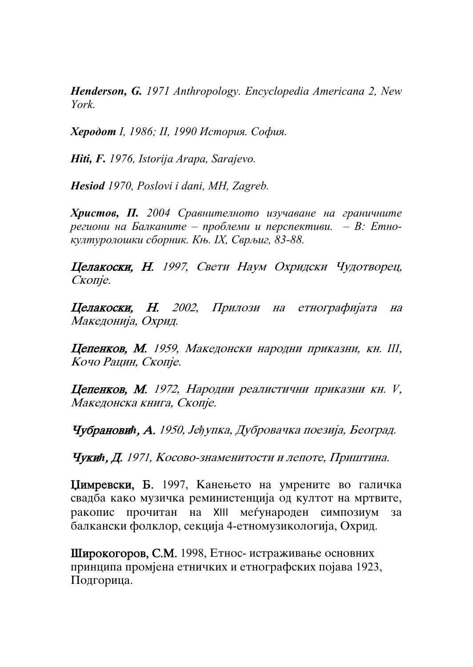*Henderson, G. 1971 Anthropology. Encyclopedia Americana 2, New York.* 

*Херодот І, 1986; ІІ, 1990 История. София.* 

*Hiti, F. 1976, Istorija Arapa, Sarajevo.* 

*Hesiod 1970, Poslovi i dani, MH, Zagreb.* 

*Христов, П. 2004 Сравнителното изучаване на граничните региони на Балканите – проблеми и перспективи. – В: Етнокултуролошки сборник. Књ. ІХ, Сврљиг, 83-88.* 

Целакоски, Н. 1997, Свети Наум Охридски Чудотворец, Скопје.

Целакоски, Н. 2002, Прилози на етнографијата на Македонија, Охрид.

Цепенков, М. 1959, Македонски народни приказни, кн. III, Кочо Рацин, Скопје.

Цепенков, М. 1972, Народни реалистични приказни кн. *V*, Македонска книга, Скопје.

Чубрановић, А. 1950, Јеђупка, Дубровачка поезија, Београд.

**Чукић, Д.** 1971, Косово-знаменитости и лепоте, Приштина.

Цимревски, Б. 1997, Канењето на умрените во галичка свадба како музичка реминистенција од култот на мртвите, ракопис прочитан на XIII меѓународен симпозиум за балкански фолклор, секција 4-етномузикологија, Охрид.

Широкогоров, С.М. 1998, Етнос- истраживање основних принципа промјена етничких и етнографских појава 1923, Подгорица.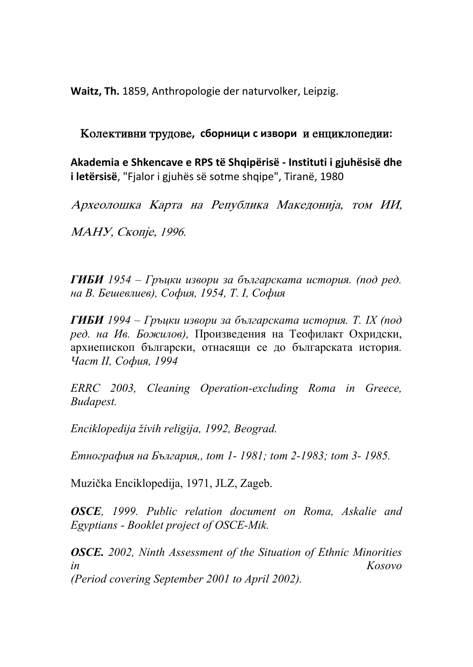**Waitz, Th.** 1859, Anthropologie der naturvolker, Leipzig.

## Колективни трудове, сборници с извори и енциклопедии:

**Akademia e Shkencave e RPS të Shqipërisë ‐ Instituti i gjuhësisë dhe i letërsisë**, "Fjalor i gjuhës së sotme shqipe", Tiranë, 1980

Археолошка Карта на Република Македонија, том ИИ,

МАНУ, Скопје, 1996.

*ГИБИ 1954 – Гръцки извори за българската история. (под ред. на В. Бешевлиев), София, 1954, Т. І, София*

*ГИБИ 1994 – Гръцки извори за българската история. Т. ІХ (под ред. на Ив. Божилов),* Произведения на Теофилакт Охридски, архиепископ български, отнасящи се до българската история*. Част ІІ, София, 1994* 

*ERRC 2003, Cleaning Operation-excluding Roma in Greece, Budapest.* 

*Enciklopedija živih religija, 1992, Beograd.* 

*Етнография на България,, tom 1- 1981; tom 2-1983; tom 3- 1985.* 

Muzička Enciklopedija, 1971, JLZ, Zageb.

*OSCE, 1999. Public relation document on Roma, Askalie and Egyptians - Booklet project of OSCE-Mik.* 

*OSCE. 2002, Ninth Assessment of the Situation of Ethnic Minorities in Kosovo (Period covering September 2001 to April 2002).*